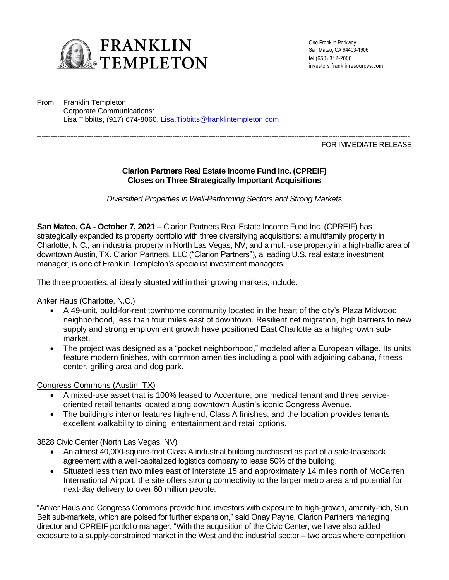

One Franklin Parkway San Mateo, CA 94403-1906 **tel** (650) 312-2000 investors.franklinresources.com

From: Franklin Templeton Corporate Communications: Lisa Tibbitts, (917) 674-8060, [Lisa.Tibbitts@franklintempleton.com](mailto:Lisa.Tibbitts@franklintempleton.com)

#### --------------------------------------------------------------------------------------------------------------------------------------------------------------------- FOR IMMEDIATE RELEASE

# **Clarion Partners Real Estate Income Fund Inc. (CPREIF) Closes on Three Strategically Important Acquisitions**

*Diversified Properties in Well-Performing Sectors and Strong Markets*

**San Mateo, CA - October 7, 2021** – Clarion Partners Real Estate Income Fund Inc. (CPREIF) has strategically expanded its property portfolio with three diversifying acquisitions: a multifamily property in Charlotte, N.C.; an industrial property in North Las Vegas, NV; and a multi-use property in a high-traffic area of downtown Austin, TX. Clarion Partners, LLC ("Clarion Partners"), a leading U.S. real estate investment manager, is one of Franklin Templeton's specialist investment managers.

The three properties, all ideally situated within their growing markets, include:

Anker Haus (Charlotte, N.C.)

- A 49-unit, build-for-rent townhome community located in the heart of the city's Plaza Midwood neighborhood, less than four miles east of downtown. Resilient net migration, high barriers to new supply and strong employment growth have positioned East Charlotte as a high-growth submarket.
- The project was designed as a "pocket neighborhood," modeled after a European village. Its units feature modern finishes, with common amenities including a pool with adjoining cabana, fitness center, grilling area and dog park.

Congress Commons (Austin, TX)

- A mixed-use asset that is 100% leased to Accenture, one medical tenant and three serviceoriented retail tenants located along downtown Austin's iconic Congress Avenue.
- The building's interior features high-end, Class A finishes, and the location provides tenants excellent walkability to dining, entertainment and retail options.

3828 Civic Center (North Las Vegas, NV)

- An almost 40,000-square-foot Class A industrial building purchased as part of a sale-leaseback agreement with a well-capitalized logistics company to lease 50% of the building.
- Situated less than two miles east of Interstate 15 and approximately 14 miles north of McCarren International Airport, the site offers strong connectivity to the larger metro area and potential for next-day delivery to over 60 million people.

"Anker Haus and Congress Commons provide fund investors with exposure to high-growth, amenity-rich, Sun Belt sub-markets, which are poised for further expansion," said Onay Payne, Clarion Partners managing director and CPREIF portfolio manager. "With the acquisition of the Civic Center, we have also added exposure to a supply-constrained market in the West and the industrial sector – two areas where competition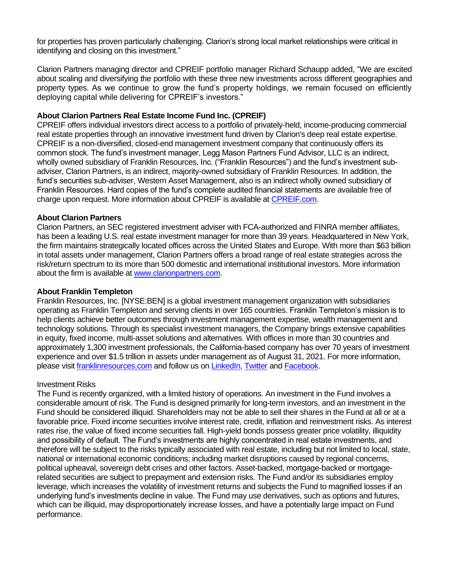for properties has proven particularly challenging. Clarion's strong local market relationships were critical in identifying and closing on this investment."

Clarion Partners managing director and CPREIF portfolio manager Richard Schaupp added, "We are excited about scaling and diversifying the portfolio with these three new investments across different geographies and property types. As we continue to grow the fund's property holdings, we remain focused on efficiently deploying capital while delivering for CPREIF's investors."

# **About Clarion Partners Real Estate Income Fund Inc. (CPREIF)**

CPREIF offers individual investors direct access to a portfolio of privately-held, income-producing commercial real estate properties through an innovative investment fund driven by Clarion's deep real estate expertise. CPREIF is a non-diversified, closed-end management investment company that continuously offers its common stock. The fund's investment manager, Legg Mason Partners Fund Advisor, LLC is an indirect, wholly owned subsidiary of Franklin Resources, Inc. ("Franklin Resources") and the fund's investment subadviser, Clarion Partners, is an indirect, majority-owned subsidiary of Franklin Resources. In addition, the fund's securities sub-adviser, Western Asset Management, also is an indirect wholly owned subsidiary of Franklin Resources. Hard copies of the fund's complete audited financial statements are available free of charge upon request. More information about CPREIF is available at [CPREIF.com.](https://www.cpreif.com/)

# **About Clarion Partners**

Clarion Partners, an SEC registered investment adviser with FCA-authorized and FINRA member affiliates, has been a leading U.S. real estate investment manager for more than 39 years. Headquartered in New York, the firm maintains strategically located offices across the United States and Europe. With more than \$63 billion in total assets under management, Clarion Partners offers a broad range of real estate strategies across the risk/return spectrum to its more than 500 domestic and international institutional investors. More information about the firm is available a[t www.clarionpartners.com.](https://www.clarionpartners.com/Pages/default.aspx)

### **About Franklin Templeton**

Franklin Resources, Inc. [NYSE:BEN] is a global investment management organization with subsidiaries operating as Franklin Templeton and serving clients in over 165 countries. Franklin Templeton's mission is to help clients achieve better outcomes through investment management expertise, wealth management and technology solutions. Through its specialist investment managers, the Company brings extensive capabilities in equity, fixed income, multi-asset solutions and alternatives. With offices in more than 30 countries and approximately 1,300 investment professionals, the California-based company has over 70 years of investment experience and over \$1.5 trillion in assets under management as of August 31, 2021. For more information, please visi[t franklinresources.com](https://urldefense.proofpoint.com/v2/url?u=http-3A__franklinresources.com&d=DwMFAg&c=PMBNytmjBbkRgFcdMTUT4Q&r=SrT8MG32j5MCV8Aj535r_SzAcgdJljlot_fvUr_dKbg&m=KLR-45kBbVSsTnKxXLonAZIETjbPc20gPiDvmmySALw&s=WihpbNQQcljcfNcxobHbAyJWlDS3RSXbelilO-lWCHk&e=) and follow us on [LinkedIn,](https://www.linkedin.com/company/franklin-templeton/) [Twitter](https://twitter.com/FTI_US) an[d Facebook.](https://www.facebook.com/franklintempleton/)

#### Investment Risks

The Fund is recently organized, with a limited history of operations. An investment in the Fund involves a considerable amount of risk. The Fund is designed primarily for long-term investors, and an investment in the Fund should be considered illiquid. Shareholders may not be able to sell their shares in the Fund at all or at a favorable price. Fixed income securities involve interest rate, credit, inflation and reinvestment risks. As interest rates rise, the value of fixed income securities fall. High-yield bonds possess greater price volatility, illiquidity and possibility of default. The Fund's investments are highly concentrated in real estate investments, and therefore will be subject to the risks typically associated with real estate, including but not limited to local, state, national or international economic conditions; including market disruptions caused by regional concerns, political upheaval, sovereign debt crises and other factors. Asset-backed, mortgage-backed or mortgagerelated securities are subject to prepayment and extension risks. The Fund and/or its subsidiaries employ leverage, which increases the volatility of investment returns and subjects the Fund to magnified losses if an underlying fund's investments decline in value. The Fund may use derivatives, such as options and futures, which can be illiquid, may disproportionately increase losses, and have a potentially large impact on Fund performance.